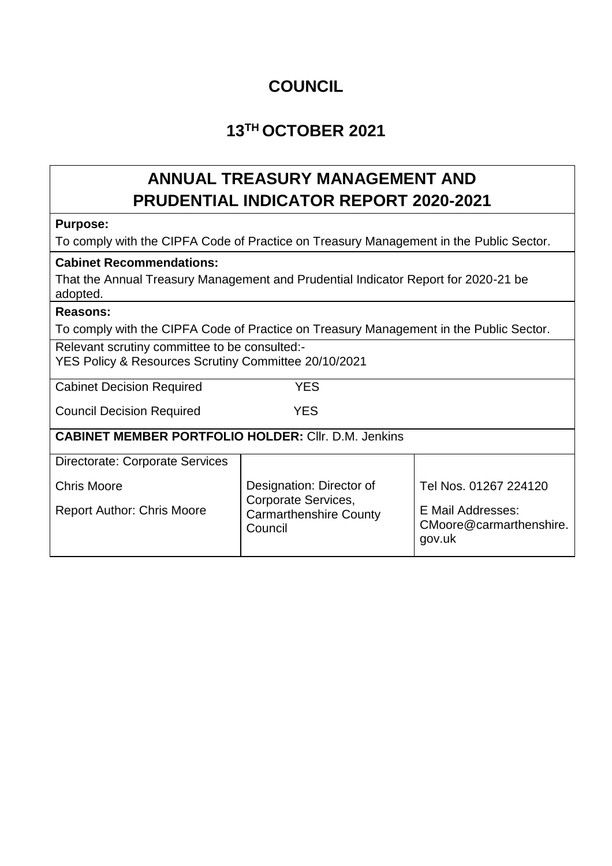### **COUNCIL**

## **13TH OCTOBER 2021**

# **ANNUAL TREASURY MANAGEMENT AND PRUDENTIAL INDICATOR REPORT 2020-2021**

#### **Purpose:**

To comply with the CIPFA Code of Practice on Treasury Management in the Public Sector.

#### **Cabinet Recommendations:**

That the Annual Treasury Management and Prudential Indicator Report for 2020-21 be adopted.

### **Reasons:**

To comply with the CIPFA Code of Practice on Treasury Management in the Public Sector.

Relevant scrutiny committee to be consulted:- YES Policy & Resources Scrutiny Committee 20/10/2021

Cabinet Decision Required YES

Council Decision Required YES

**CABINET MEMBER PORTFOLIO HOLDER:** Cllr. D.M. Jenkins

| <b>Directorate: Corporate Services</b> |                                                                 |                                                        |
|----------------------------------------|-----------------------------------------------------------------|--------------------------------------------------------|
| <b>Chris Moore</b>                     | Designation: Director of                                        | Tel Nos. 01267 224120                                  |
| <b>Report Author: Chris Moore</b>      | Corporate Services,<br><b>Carmarthenshire County</b><br>Council | E Mail Addresses:<br>CMoore@carmarthenshire.<br>gov.uk |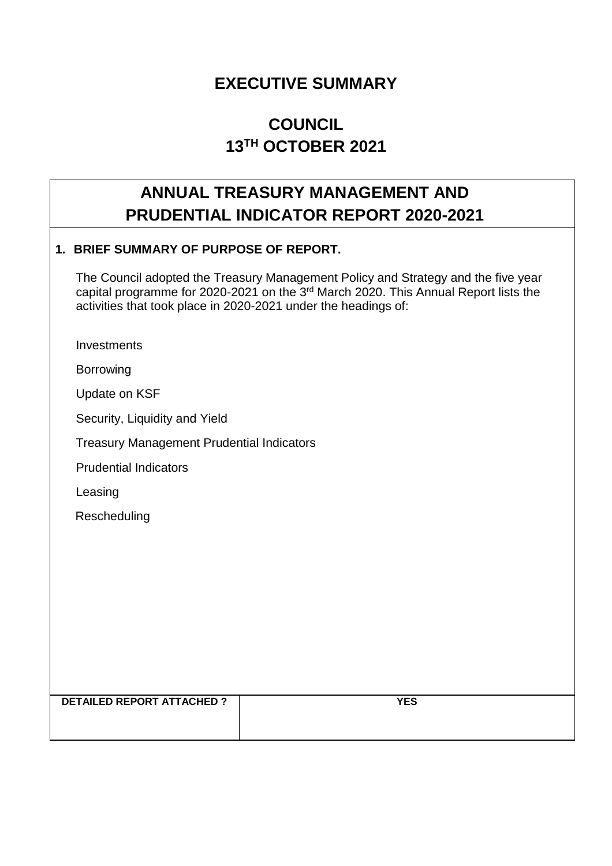### **EXECUTIVE SUMMARY**

## **COUNCIL 13TH OCTOBER 2021**

### **ANNUAL TREASURY MANAGEMENT AND PRUDENTIAL INDICATOR REPORT 2020-2021**

#### **1. BRIEF SUMMARY OF PURPOSE OF REPORT.**

 The Council adopted the Treasury Management Policy and Strategy and the five year capital programme for 2020-2021 on the  $3<sup>rd</sup>$  March 2020. This Annual Report lists the activities that took place in 2020-2021 under the headings of:

**Investments** 

Borrowing

Update on KSF

Security, Liquidity and Yield

Treasury Management Prudential Indicators

Prudential Indicators

Leasing

Rescheduling

**DETAILED REPORT ATTACHED ? YES**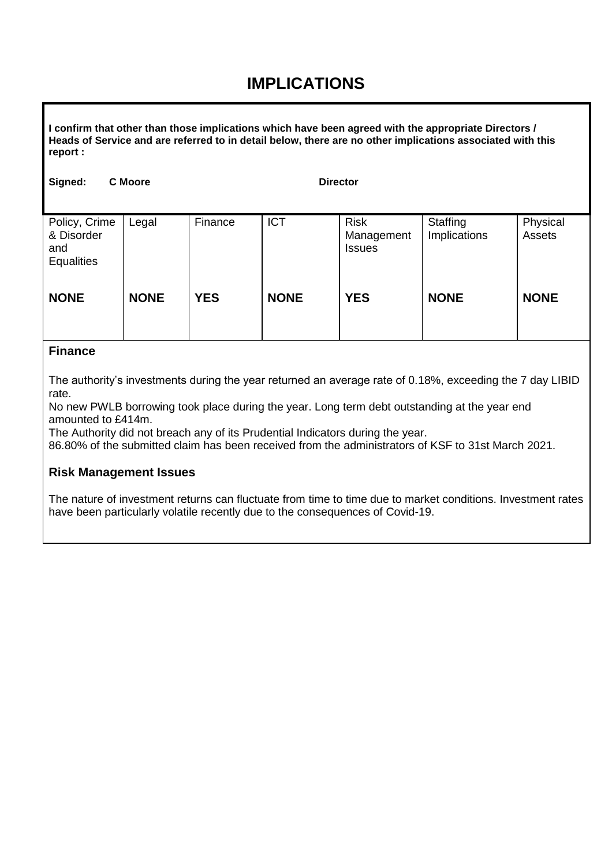### **IMPLICATIONS**

**I confirm that other than those implications which have been agreed with the appropriate Directors / Heads of Service and are referred to in detail below, there are no other implications associated with this report :**

| Signed:                                                 | <b>C</b> Moore |            | <b>Director</b> |                                            |                          |                    |
|---------------------------------------------------------|----------------|------------|-----------------|--------------------------------------------|--------------------------|--------------------|
| Policy, Crime<br>& Disorder<br>and<br><b>Equalities</b> | Legal          | Finance    | <b>ICT</b>      | <b>Risk</b><br>Management<br><b>Issues</b> | Staffing<br>Implications | Physical<br>Assets |
| <b>NONE</b>                                             | <b>NONE</b>    | <b>YES</b> | <b>NONE</b>     | <b>YES</b>                                 | <b>NONE</b>              | <b>NONE</b>        |

#### **Finance**

The authority's investments during the year returned an average rate of 0.18%, exceeding the 7 day LIBID rate.

No new PWLB borrowing took place during the year. Long term debt outstanding at the year end amounted to £414m.

The Authority did not breach any of its Prudential Indicators during the year.

86.80% of the submitted claim has been received from the administrators of KSF to 31st March 2021.

#### **Risk Management Issues**

The nature of investment returns can fluctuate from time to time due to market conditions. Investment rates have been particularly volatile recently due to the consequences of Covid-19.